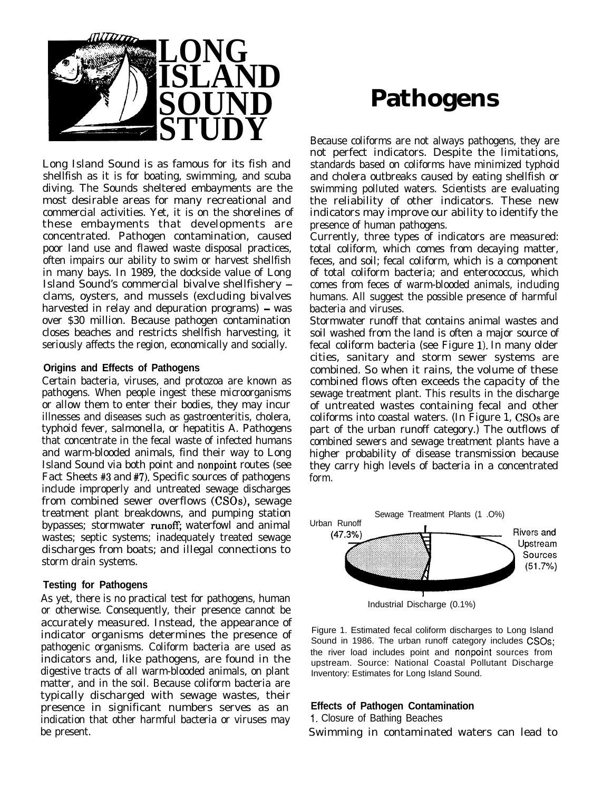

Long Island Sound is as famous for its fish and shellfish as it is for boating, swimming, and scuba diving. The Sounds sheltered embayments are the most desirable areas for many recreational and commercial activities. Yet, it is on the shorelines of these embayments that developments are concentrated. Pathogen contamination, caused poor land use and flawed waste disposal practices, often impairs our ability to swim or harvest shellfish in many bays. In 1989, the dockside value of Long Island Sound's commercial bivalve shellfishery clams, oysters, and mussels (excluding bivalves harvested in relay and depuration programs)  $-$  was over \$30 million. Because pathogen contamination closes beaches and restricts shellfish harvesting, it seriously affects the region, economically and socially.

#### **Origins and Effects of Pathogens**

Certain bacteria, viruses, and protozoa are known as pathogens. When people ingest these microorganisms or allow them to enter their bodies, they may incur illnesses and diseases such as gastroenteritis, cholera, typhoid fever, salmonella, or hepatitis A. Pathogens that concentrate in the fecal waste of infected humans and warm-blooded animals, find their way to Long Island Sound via both point and nonpoint routes (see Fact Sheets  $#3$  and  $#7$ ). Specific sources of pathogens include improperly and untreated sewage discharges from combined sewer overflows (CSOs), sewage treatment plant breakdowns, and pumping station bypasses; stormwater runoff; waterfowl and animal wastes; septic systems; inadequately treated sewage discharges from boats; and illegal connections to storm drain systems.

## **Testing for Pathogens**

As yet, there is no practical test for pathogens, human or otherwise. Consequently, their presence cannot be accurately measured. Instead, the appearance of indicator organisms determines the presence of pathogenic organisms. Coliform bacteria are used as indicators and, like pathogens, are found in the digestive tracts of all warm-blooded animals, on plant matter, and in the soil. Because coliform bacteria are typically discharged with sewage wastes, their presence in significant numbers serves as an indication that other harmful bacteria or viruses may be present.

# **Pathogens**

Because coliforms are not always pathogens, they are not perfect indicators. Despite the limitations, standards based on coliforms have minimized typhoid and cholera outbreaks caused by eating shellfish or swimming polluted waters. Scientists are evaluating the reliability of other indicators. These new indicators may improve our ability to identify the presence of human pathogens.

Currently, three types of indicators are measured: total coliform, which comes from decaying matter, feces, and soil; fecal coliform, which is a component of total coliform bacteria; and enterococcus, which comes from feces of warm-blooded animals, including humans. All suggest the possible presence of harmful bacteria and viruses.

Stormwater runoff that contains animal wastes and soil washed from the land is often a major source of fecal coliform bacteria (see Figure 1). In many older cities, sanitary and storm sewer systems are combined. So when it rains, the volume of these combined flows often exceeds the capacity of the sewage treatment plant. This results in the discharge of untreated wastes containing fecal and other coliforms into coastal waters. (In Figure 1, CSOs are part of the urban runoff category.) The outflows of combined sewers and sewage treatment plants have a higher probability of disease transmission because they carry high levels of bacteria in a concentrated form.



Figure 1. Estimated fecal coliform discharges to Long Island Sound in 1986. The urban runoff category includes CSOs; the river load includes point and nonpoint sources from upstream. Source: National Coastal Pollutant Discharge Inventory: Estimates for Long Island Sound.

## **Effects of Pathogen Contamination**

1. Closure of Bathing Beaches

Swimming in contaminated waters can lead to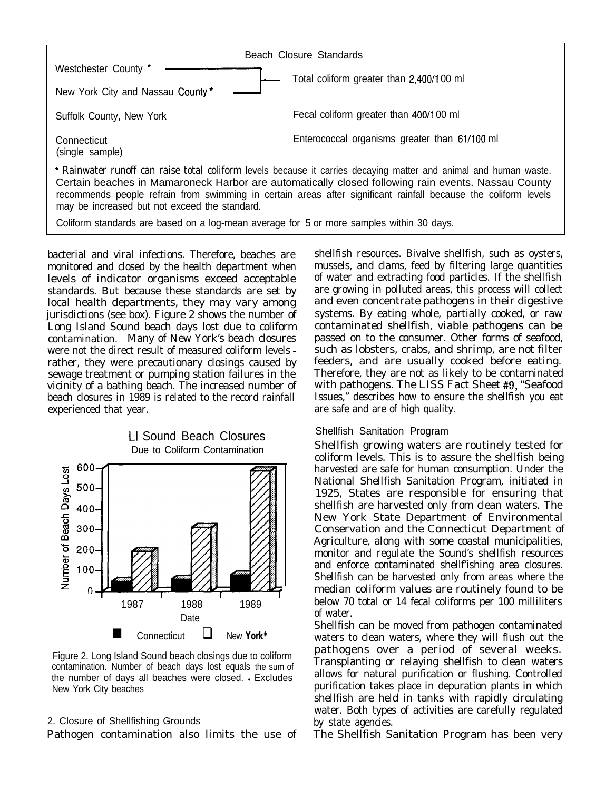

bacterial and viral infections. Therefore, beaches are shellfish resources. Bivalve shellfish, such as oysters, monitored and closed by the health department when mussels, and clams, feed by filtering large quantities monitored and closed by the health department when mussels, and clams, feed by filtering large quantities<br>levels of indicator organisms exceed acceptable of water and extracting food particles. If the shellfish levels of indicator organisms exceed acceptable of water and extracting food particles. If the shellfish standards is the shellfish standards are set by are growing in polluted areas, this process will collect standards. But because these standards are set by local health departments, they may vary among and even concentrate pathogens in their digestive jurisdictions (see box). Figure 2 shows the number of systems. By eating whole, partially cooked, or raw<br>Long Island Sound beach days lost due to coliform contaminated shellfish, viable pathogens can be Long Island Sound beach days lost due to coliform contaminated shellfish, viable pathogens can be contamination. Many of New York's beach closures passed on to the consumer. Other forms of seafood, were not the direct result of measured coliform levels - such as lobsters, crabs, and shrimp, are not filter were not the direct result of measured coliform levels - such as lobsters, crabs, and shrimp, are not filter rather, they were precautionary closings caused by feeders, and are usually cooked before eating. rather, they were precautionary closings caused by feeders, and are usually cooked before eating.<br>sewage treatment or pumping station failures in the Therefore, they are not as likely to be contaminated sewage treatment or pumping station failures in the vicinity of a bathing beach. The increased number of with pathogens. The LISS Fact Sheet #9, "Seafood beach closures in 1989 is related to the record rainfall Issues," describes how to ensure the shellfish you eat experienced that year.  $\qquad \qquad$  are safe and are of high quality.

## LI Sound Beach Closures Due to Coliform Contamination



Figure 2. Long Island Sound beach closings due to coliform contamination. Number of beach days lost equals the sum of the number of days all beaches were closed. . Excludes New York City beaches

#### 2. Closure of Shellfishing Grounds

Pathogen contamination also limits the use of

## Shellfish Sanitation Program

Shellfish growing waters are routinely tested for coliform levels. This is to assure the shellfish being harvested are safe for human consumption. Under the National Shellfish Sanitation Program, initiated in 1925, States are responsible for ensuring that shellfish are harvested only from clean waters. The New York State Department of Environmental Conservation and the Connecticut Department of Agriculture, along with some coastal municipalities, monitor and regulate the Sound's shellfish resources and enforce contaminated shellf'ishing area closures. Shellfish can be harvested only from areas where the median coliform values are routinely found to be below 70 total or 14 fecal coliforms per 100 milliliters of water.

Shellfish can be moved from pathogen contaminated waters to clean waters, where they will flush out the pathogens over a period of several weeks. Transplanting or relaying shellfish to clean waters allows for natural purification or flushing. Controlled purification takes place in depuration plants in which shellfish are held in tanks with rapidly circulating water. Both types of activities are carefully regulated by state agencies.

The Shellfish Sanitation Program has been very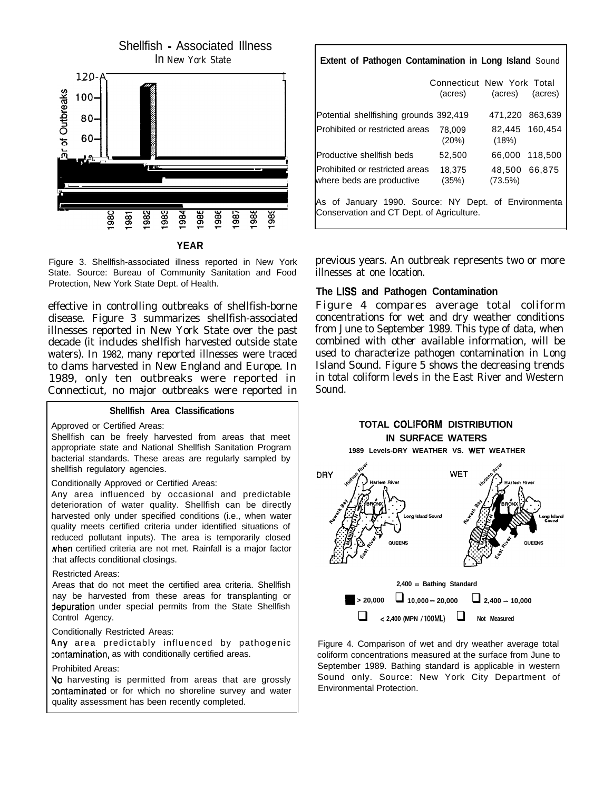

Figure 3. Shellfish-associated illness reported in New York State. Source: Bureau of Community Sanitation and Food Protection, New York State Dept. of Health.

effective in controlling outbreaks of shellfish-borne disease. Figure 3 summarizes shellfish-associated illnesses reported in New York State over the past decade (it includes shellfish harvested outside state waters). In 1982, many reported illnesses were traced to clams harvested in New England and Europe. In 1989, only ten outbreaks were reported in Connecticut, no major outbreaks were reported in

#### **Shellfish Area Classifications**

Approved or Certified Areas:

Shellfish can be freely harvested from areas that meet appropriate state and National Shellfish Sanitation Program bacterial standards. These areas are regularly sampled by shellfish regulatory agencies.

Conditionally Approved or Certified Areas:

Any area influenced by occasional and predictable deterioration of water quality. Shellfish can be directly harvested only under specified conditions (i.e., when water quality meets certified criteria under identified situations of reduced pollutant inputs). The area is temporarily closed when certified criteria are not met. Rainfall is a major factor :hat affects conditional closings.

#### Restricted Areas:

Areas that do not meet the certified area criteria. Shellfish nay be harvested from these areas for transplanting or depuration under special permits from the State Shellfish Control Agency.

Conditionally Restricted Areas:

Any area predictably influenced by pathogenic zontamination, as with conditionally certified areas.

#### Prohibited Areas:

Vo harvesting is permitted from areas that are grossly :ontaminated or for which no shoreline survey and water quality assessment has been recently completed.

| <b>Extent of Pathogen Contamination in Long Island Sound</b>                                      |                                                       |         |                 |
|---------------------------------------------------------------------------------------------------|-------------------------------------------------------|---------|-----------------|
|                                                                                                   | Connecticut New York Total<br>(acres) (acres) (acres) |         |                 |
| Potential shellfishing grounds 392,419                                                            |                                                       |         | 471,220 863,639 |
| Prohibited or restricted areas                                                                    | 78.009<br>(20%)                                       | (18%)   | 82,445 160,454  |
| Productive shellfish beds                                                                         | 52,500                                                |         | 66,000 118,500  |
| Prohibited or restricted areas<br>where beds are productive                                       | 18.375<br>(35%)                                       | (73.5%) | 48,500 66,875   |
| As of January 1990. Source: NY Dept. of Environmenta<br>Conservation and CT Dept. of Agriculture. |                                                       |         |                 |

previous years. An outbreak represents two or more illnesses at one location.

#### **The LISS and Pathogen Contamination**

Figure 4 compares average total coliform concentrations for wet and dry weather conditions from June to September 1989. This type of data, when combined with other available information, will be used to characterize pathogen contamination in Long Island Sound. Figure 5 shows the decreasing trends in total coliform levels in the East River and Western Sound.





Figure 4. Comparison of wet and dry weather average total coliform concentrations measured at the surface from June to September 1989. Bathing standard is applicable in western Sound only. Source: New York City Department of Environmental Protection.